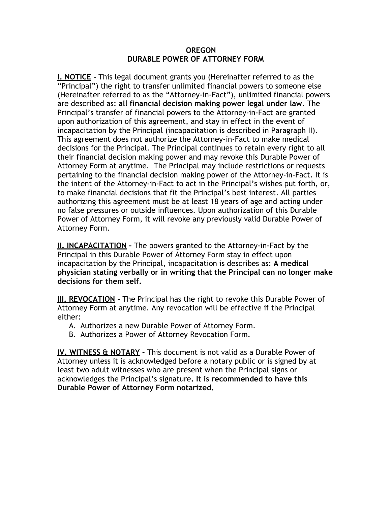#### **OREGON DURABLE POWER OF ATTORNEY FORM**

**I. NOTICE -** This legal document grants you (Hereinafter referred to as the "Principal") the right to transfer unlimited financial powers to someone else (Hereinafter referred to as the "Attorney-in-Fact"), unlimited financial powers are described as: **all financial decision making power legal under law**. The Principal's transfer of financial powers to the Attorney-in-Fact are granted upon authorization of this agreement, and stay in effect in the event of incapacitation by the Principal (incapacitation is described in Paragraph II). This agreement does not authorize the Attorney-in-Fact to make medical decisions for the Principal. The Principal continues to retain every right to all their financial decision making power and may revoke this Durable Power of Attorney Form at anytime. The Principal may include restrictions or requests pertaining to the financial decision making power of the Attorney-in-Fact. It is the intent of the Attorney-in-Fact to act in the Principal's wishes put forth, or, to make financial decisions that fit the Principal's best interest. All parties authorizing this agreement must be at least 18 years of age and acting under no false pressures or outside influences. Upon authorization of this Durable Power of Attorney Form, it will revoke any previously valid Durable Power of Attorney Form.

**II. INCAPACITATION –** The powers granted to the Attorney-in-Fact by the Principal in this Durable Power of Attorney Form stay in effect upon incapacitation by the Principal, incapacitation is describes as: **A medical physician stating verbally or in writing that the Principal can no longer make decisions for them self.**

**III. REVOCATION -** The Principal has the right to revoke this Durable Power of Attorney Form at anytime. Any revocation will be effective if the Principal either:

- A. Authorizes a new Durable Power of Attorney Form.
- B. Authorizes a Power of Attorney Revocation Form.

**IV. WITNESS & NOTARY -** This document is not valid as a Durable Power of Attorney unless it is acknowledged before a notary public or is signed by at least two adult witnesses who are present when the Principal signs or acknowledges the Principal's signature**. It is recommended to have this Durable Power of Attorney Form notarized.**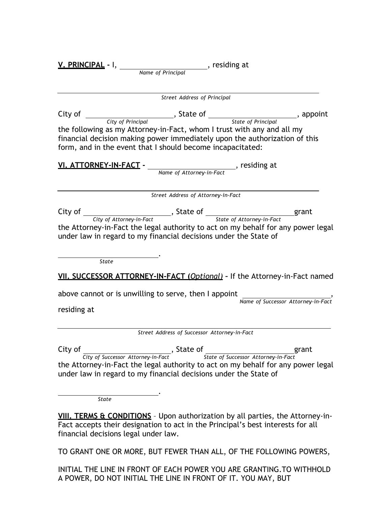| V. PRINCIPAL - I,                                                                                                                                                                                                  |                                              | , residing at                           |           |
|--------------------------------------------------------------------------------------------------------------------------------------------------------------------------------------------------------------------|----------------------------------------------|-----------------------------------------|-----------|
|                                                                                                                                                                                                                    | Name of Principal                            |                                         |           |
|                                                                                                                                                                                                                    | Street Address of Principal                  |                                         |           |
|                                                                                                                                                                                                                    |                                              |                                         |           |
|                                                                                                                                                                                                                    |                                              |                                         | , appoint |
| the following as my Attorney-in-Fact, whom I trust with any and all my<br>financial decision making power immediately upon the authorization of this<br>form, and in the event that I should become incapacitated: |                                              |                                         |           |
| <u>VI. ATTORNEY-IN-FACT</u> -                                                                                                                                                                                      | Name of Attorney-in-Fact (3) residing at     |                                         |           |
|                                                                                                                                                                                                                    | Street Address of Attorney-in-Fact           |                                         |           |
|                                                                                                                                                                                                                    |                                              |                                         |           |
| City of <u>City of Attorney-in-Fact</u> , State of <u>State of Attorney-in-Fact</u> grant                                                                                                                          |                                              |                                         |           |
| the Attorney-in-Fact the legal authority to act on my behalf for any power legal<br>under law in regard to my financial decisions under the State of                                                               |                                              |                                         |           |
| State                                                                                                                                                                                                              |                                              |                                         |           |
| VII. SUCCESSOR ATTORNEY-IN-FACT (Optional) - If the Attorney-in-Fact named                                                                                                                                         |                                              |                                         |           |
| above cannot or is unwilling to serve, then I appoint                                                                                                                                                              |                                              |                                         |           |
|                                                                                                                                                                                                                    |                                              | ,<br>Name of Successor Attorney-in-Fact |           |
| residing at                                                                                                                                                                                                        |                                              |                                         |           |
|                                                                                                                                                                                                                    | Street Address of Successor Attorney-in-Fact |                                         |           |
| City of                                                                                                                                                                                                            |                                              |                                         |           |
| State of Successor Attorney-in-Fact, State of                                                                                                                                                                      |                                              | State of Successor Attorney-in-Fact     | grant     |
| the Attorney-in-Fact the legal authority to act on my behalf for any power legal                                                                                                                                   |                                              |                                         |           |
| under law in regard to my financial decisions under the State of                                                                                                                                                   |                                              |                                         |           |
| State                                                                                                                                                                                                              |                                              |                                         |           |
|                                                                                                                                                                                                                    |                                              |                                         |           |
| VIII. TERMS & CONDITIONS - Upon authorization by all parties, the Attorney-in-                                                                                                                                     |                                              |                                         |           |
| Fact accepts their designation to act in the Principal's best interests for all                                                                                                                                    |                                              |                                         |           |

financial decisions legal under law.

TO GRANT ONE OR MORE, BUT FEWER THAN ALL, OF THE FOLLOWING POWERS,

INITIAL THE LINE IN FRONT OF EACH POWER YOU ARE GRANTING.TO WITHHOLD A POWER, DO NOT INITIAL THE LINE IN FRONT OF IT. YOU MAY, BUT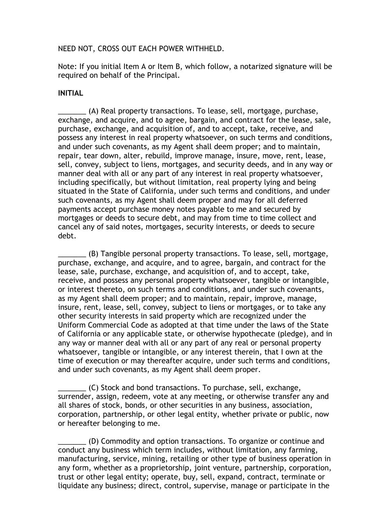## NEED NOT, CROSS OUT EACH POWER WITHHELD.

Note: If you initial Item A or Item B, which follow, a notarized signature will be required on behalf of the Principal.

## **INITIAL**

\_\_\_\_\_\_\_ (A) Real property transactions. To lease, sell, mortgage, purchase, exchange, and acquire, and to agree, bargain, and contract for the lease, sale, purchase, exchange, and acquisition of, and to accept, take, receive, and possess any interest in real property whatsoever, on such terms and conditions, and under such covenants, as my Agent shall deem proper; and to maintain, repair, tear down, alter, rebuild, improve manage, insure, move, rent, lease, sell, convey, subject to liens, mortgages, and security deeds, and in any way or manner deal with all or any part of any interest in real property whatsoever, including specifically, but without limitation, real property lying and being situated in the State of California, under such terms and conditions, and under such covenants, as my Agent shall deem proper and may for all deferred payments accept purchase money notes payable to me and secured by mortgages or deeds to secure debt, and may from time to time collect and cancel any of said notes, mortgages, security interests, or deeds to secure debt.

\_\_\_\_\_\_\_ (B) Tangible personal property transactions. To lease, sell, mortgage, purchase, exchange, and acquire, and to agree, bargain, and contract for the lease, sale, purchase, exchange, and acquisition of, and to accept, take, receive, and possess any personal property whatsoever, tangible or intangible, or interest thereto, on such terms and conditions, and under such covenants, as my Agent shall deem proper; and to maintain, repair, improve, manage, insure, rent, lease, sell, convey, subject to liens or mortgages, or to take any other security interests in said property which are recognized under the Uniform Commercial Code as adopted at that time under the laws of the State of California or any applicable state, or otherwise hypothecate (pledge), and in any way or manner deal with all or any part of any real or personal property whatsoever, tangible or intangible, or any interest therein, that I own at the time of execution or may thereafter acquire, under such terms and conditions, and under such covenants, as my Agent shall deem proper.

\_\_\_\_\_\_\_ (C) Stock and bond transactions. To purchase, sell, exchange, surrender, assign, redeem, vote at any meeting, or otherwise transfer any and all shares of stock, bonds, or other securities in any business, association, corporation, partnership, or other legal entity, whether private or public, now or hereafter belonging to me.

\_\_\_\_\_\_\_ (D) Commodity and option transactions. To organize or continue and conduct any business which term includes, without limitation, any farming, manufacturing, service, mining, retailing or other type of business operation in any form, whether as a proprietorship, joint venture, partnership, corporation, trust or other legal entity; operate, buy, sell, expand, contract, terminate or liquidate any business; direct, control, supervise, manage or participate in the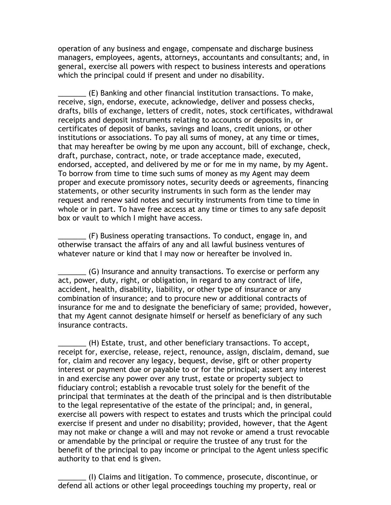operation of any business and engage, compensate and discharge business managers, employees, agents, attorneys, accountants and consultants; and, in general, exercise all powers with respect to business interests and operations which the principal could if present and under no disability.

\_\_\_\_\_\_\_ (E) Banking and other financial institution transactions. To make, receive, sign, endorse, execute, acknowledge, deliver and possess checks, drafts, bills of exchange, letters of credit, notes, stock certificates, withdrawal receipts and deposit instruments relating to accounts or deposits in, or certificates of deposit of banks, savings and loans, credit unions, or other institutions or associations. To pay all sums of money, at any time or times, that may hereafter be owing by me upon any account, bill of exchange, check, draft, purchase, contract, note, or trade acceptance made, executed, endorsed, accepted, and delivered by me or for me in my name, by my Agent. To borrow from time to time such sums of money as my Agent may deem proper and execute promissory notes, security deeds or agreements, financing statements, or other security instruments in such form as the lender may request and renew said notes and security instruments from time to time in whole or in part. To have free access at any time or times to any safe deposit box or vault to which I might have access.

\_\_\_\_\_\_\_ (F) Business operating transactions. To conduct, engage in, and otherwise transact the affairs of any and all lawful business ventures of whatever nature or kind that I may now or hereafter be involved in.

\_\_\_\_\_\_\_ (G) Insurance and annuity transactions. To exercise or perform any act, power, duty, right, or obligation, in regard to any contract of life, accident, health, disability, liability, or other type of insurance or any combination of insurance; and to procure new or additional contracts of insurance for me and to designate the beneficiary of same; provided, however, that my Agent cannot designate himself or herself as beneficiary of any such insurance contracts.

\_\_\_\_\_\_\_ (H) Estate, trust, and other beneficiary transactions. To accept, receipt for, exercise, release, reject, renounce, assign, disclaim, demand, sue for, claim and recover any legacy, bequest, devise, gift or other property interest or payment due or payable to or for the principal; assert any interest in and exercise any power over any trust, estate or property subject to fiduciary control; establish a revocable trust solely for the benefit of the principal that terminates at the death of the principal and is then distributable to the legal representative of the estate of the principal; and, in general, exercise all powers with respect to estates and trusts which the principal could exercise if present and under no disability; provided, however, that the Agent may not make or change a will and may not revoke or amend a trust revocable or amendable by the principal or require the trustee of any trust for the benefit of the principal to pay income or principal to the Agent unless specific authority to that end is given.

\_\_\_\_\_\_\_ (I) Claims and litigation. To commence, prosecute, discontinue, or defend all actions or other legal proceedings touching my property, real or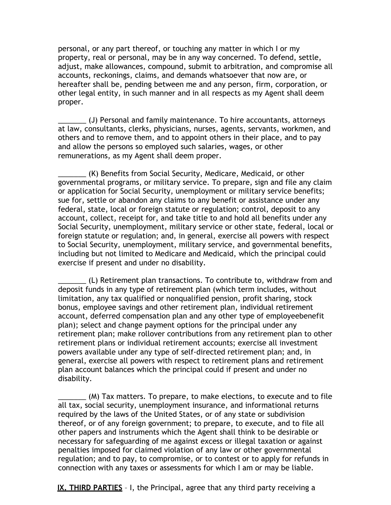personal, or any part thereof, or touching any matter in which I or my property, real or personal, may be in any way concerned. To defend, settle, adjust, make allowances, compound, submit to arbitration, and compromise all accounts, reckonings, claims, and demands whatsoever that now are, or hereafter shall be, pending between me and any person, firm, corporation, or other legal entity, in such manner and in all respects as my Agent shall deem proper.

\_\_\_\_\_\_\_ (J) Personal and family maintenance. To hire accountants, attorneys at law, consultants, clerks, physicians, nurses, agents, servants, workmen, and others and to remove them, and to appoint others in their place, and to pay and allow the persons so employed such salaries, wages, or other remunerations, as my Agent shall deem proper.

\_\_\_\_\_\_\_ (K) Benefits from Social Security, Medicare, Medicaid, or other governmental programs, or military service. To prepare, sign and file any claim or application for Social Security, unemployment or military service benefits; sue for, settle or abandon any claims to any benefit or assistance under any federal, state, local or foreign statute or regulation; control, deposit to any account, collect, receipt for, and take title to and hold all benefits under any Social Security, unemployment, military service or other state, federal, local or foreign statute or regulation; and, in general, exercise all powers with respect to Social Security, unemployment, military service, and governmental benefits, including but not limited to Medicare and Medicaid, which the principal could exercise if present and under no disability.

\_\_\_\_\_\_\_ (L) Retirement plan transactions. To contribute to, withdraw from and deposit funds in any type of retirement plan (which term includes, without limitation, any tax qualified or nonqualified pension, profit sharing, stock bonus, employee savings and other retirement plan, individual retirement account, deferred compensation plan and any other type of employeebenefit plan); select and change payment options for the principal under any retirement plan; make rollover contributions from any retirement plan to other retirement plans or individual retirement accounts; exercise all investment powers available under any type of self-directed retirement plan; and, in general, exercise all powers with respect to retirement plans and retirement plan account balances which the principal could if present and under no disability.

\_\_\_\_\_\_\_ (M) Tax matters. To prepare, to make elections, to execute and to file all tax, social security, unemployment insurance, and informational returns required by the laws of the United States, or of any state or subdivision thereof, or of any foreign government; to prepare, to execute, and to file all other papers and instruments which the Agent shall think to be desirable or necessary for safeguarding of me against excess or illegal taxation or against penalties imposed for claimed violation of any law or other governmental regulation; and to pay, to compromise, or to contest or to apply for refunds in connection with any taxes or assessments for which I am or may be liable.

**IX. THIRD PARTIES** – I, the Principal, agree that any third party receiving a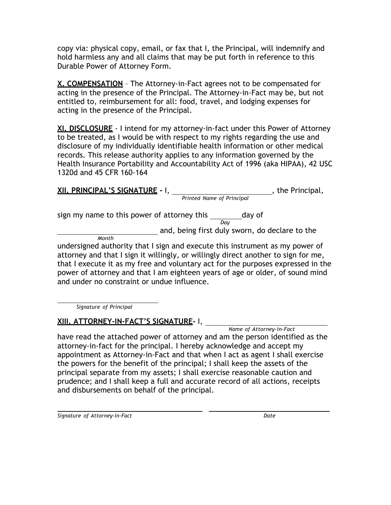copy via: physical copy, email, or fax that I, the Principal, will indemnify and hold harmless any and all claims that may be put forth in reference to this Durable Power of Attorney Form.

**X. COMPENSATION** – The Attorney-in-Fact agrees not to be compensated for acting in the presence of the Principal. The Attorney-in-Fact may be, but not entitled to, reimbursement for all: food, travel, and lodging expenses for acting in the presence of the Principal.

**XI. DISCLOSURE** - I intend for my attorney-in-fact under this Power of Attorney to be treated, as I would be with respect to my rights regarding the use and disclosure of my individually identifiable health information or other medical records. This release authority applies to any information governed by the Health Insurance Portability and Accountability Act of 1996 (aka HIPAA), 42 USC 1320d and 45 CFR 160-164

| XII. PRINCIPAL'S SIGNATURE - I, |                           | , the Principal, |
|---------------------------------|---------------------------|------------------|
|                                 | Printed Name of Principal |                  |

sign my name to this power of attorney this \_\_\_\_\_\_\_\_ day of *Day* and, being first duly sworn, do declare to the

undersigned authority that I sign and execute this instrument as my power of attorney and that I sign it willingly, or willingly direct another to sign for me, that I execute it as my free and voluntary act for the purposes expressed in the power of attorney and that I am eighteen years of age or older, of sound mind and under no constraint or undue influence.

*Signature of Principal*

*Month*

## **XIII. ATTORNEY-IN-FACT'S SIGNATURE-** I,

*Name of Attorney-in-Fact* have read the attached power of attorney and am the person identified as the attorney-in-fact for the principal. I hereby acknowledge and accept my appointment as Attorney-in-Fact and that when I act as agent I shall exercise the powers for the benefit of the principal; I shall keep the assets of the principal separate from my assets; I shall exercise reasonable caution and prudence; and I shall keep a full and accurate record of all actions, receipts and disbursements on behalf of the principal.

*Signature of Attorney-in-Fact Date*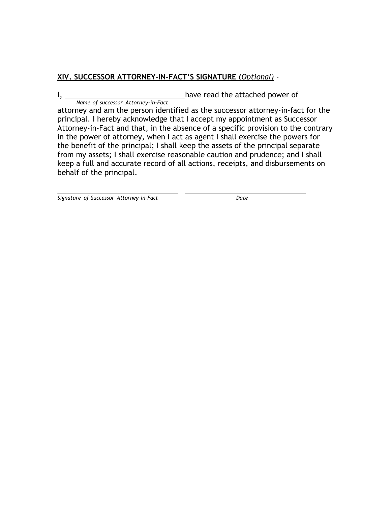## **XIV. SUCCESSOR ATTORNEY-IN-FACT'S SIGNATURE (***Optional)* -

I, have read the attached power of *Name of successor Attorney-in-Fact*

attorney and am the person identified as the successor attorney-in-fact for the principal. I hereby acknowledge that I accept my appointment as Successor Attorney-in-Fact and that, in the absence of a specific provision to the contrary in the power of attorney, when I act as agent I shall exercise the powers for the benefit of the principal; I shall keep the assets of the principal separate from my assets; I shall exercise reasonable caution and prudence; and I shall keep a full and accurate record of all actions, receipts, and disbursements on behalf of the principal.

*Signature of Successor Attorney-in-Fact Date*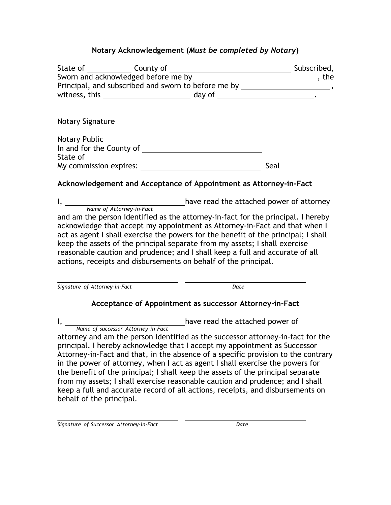# **Notary Acknowledgement (***Must be completed by Notary***)**

| <b>Notary Signature</b>                                                                                                                                        |      |      |  |  |  |
|----------------------------------------------------------------------------------------------------------------------------------------------------------------|------|------|--|--|--|
| <b>Notary Public</b>                                                                                                                                           |      |      |  |  |  |
|                                                                                                                                                                |      |      |  |  |  |
|                                                                                                                                                                |      |      |  |  |  |
|                                                                                                                                                                |      | Seal |  |  |  |
| Acknowledgement and Acceptance of Appointment as Attorney-in-Fact                                                                                              |      |      |  |  |  |
| I, Mame of Attorney-in-Fact Manuson Land the attached power of attorney                                                                                        |      |      |  |  |  |
|                                                                                                                                                                |      |      |  |  |  |
| and am the person identified as the attorney-in-fact for the principal. I hereby<br>acknowledge that accept my appointment as Attorney-in-Fact and that when I |      |      |  |  |  |
| act as agent I shall exercise the powers for the benefit of the principal; I shall                                                                             |      |      |  |  |  |
| keep the assets of the principal separate from my assets; I shall exercise                                                                                     |      |      |  |  |  |
| reasonable caution and prudence; and I shall keep a full and accurate of all                                                                                   |      |      |  |  |  |
| actions, receipts and disbursements on behalf of the principal.                                                                                                |      |      |  |  |  |
| Signature of Attorney-in-Fact                                                                                                                                  | Date |      |  |  |  |
|                                                                                                                                                                |      |      |  |  |  |
| Acceptance of Appointment as successor Attorney-in-Fact                                                                                                        |      |      |  |  |  |
|                                                                                                                                                                |      |      |  |  |  |
|                                                                                                                                                                |      |      |  |  |  |
| attorney and am the person identified as the successor attorney-in-fact for the                                                                                |      |      |  |  |  |
| principal. I hereby acknowledge that I accept my appointment as Successor<br>Attorney-in-Fact and that, in the absence of a specific provision to the contrary |      |      |  |  |  |
| in the power of attorney, when I act as agent I shall exercise the powers for                                                                                  |      |      |  |  |  |
| the benefit of the principal; I shall keep the assets of the principal separate                                                                                |      |      |  |  |  |
| from my assets; I shall exercise reasonable caution and prudence; and I shall                                                                                  |      |      |  |  |  |
| keep a full and accurate record of all actions, receipts, and disbursements on                                                                                 |      |      |  |  |  |

behalf of the principal.